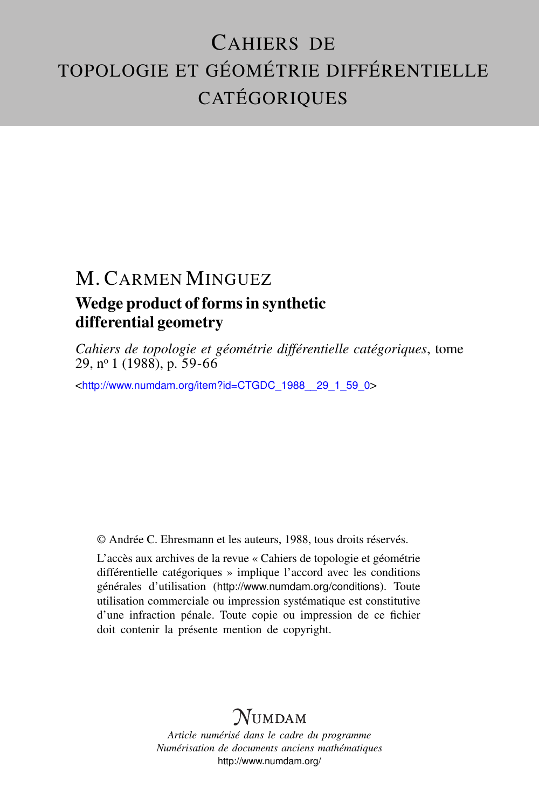## CAHIERS DE TOPOLOGIE ET GÉOMÉTRIE DIFFÉRENTIELLE **CATÉGORIQUES**

# M. CARMEN MINGUEZ

### Wedge product of forms in synthetic differential geometry

*Cahiers de topologie et géométrie différentielle catégoriques*, tome 29, n<sup>o</sup> 1 (1988), p. 59-66

<[http://www.numdam.org/item?id=CTGDC\\_1988\\_\\_29\\_1\\_59\\_0](http://www.numdam.org/item?id=CTGDC_1988__29_1_59_0)>

© Andrée C. Ehresmann et les auteurs, 1988, tous droits réservés.

L'accès aux archives de la revue « Cahiers de topologie et géométrie différentielle catégoriques » implique l'accord avec les conditions générales d'utilisation (<http://www.numdam.org/conditions>). Toute utilisation commerciale ou impression systématique est constitutive d'une infraction pénale. Toute copie ou impression de ce fichier doit contenir la présente mention de copyright.

## **NUMDAM**

*Article numérisé dans le cadre du programme Numérisation de documents anciens mathématiques* <http://www.numdam.org/>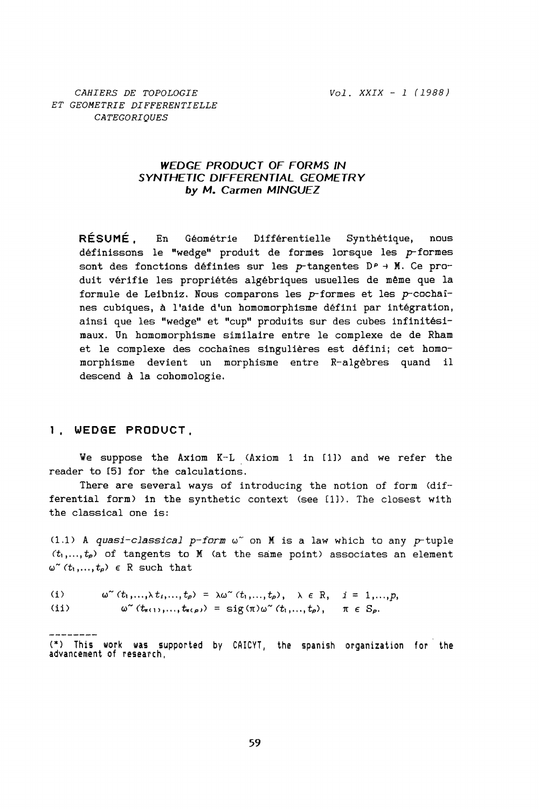Vol. XXIX - 1 (1988)

#### WEDGE PRODUCT OF FORMS IN SYNTHETIC DIFFERENTIAL GEOMETRY by M. Carmen MINGUEZ

**RÉSUMÉ** Géométrie Différentielle Synthétique,  $En$ nous définissons le "wedge" produit de formes lorsque les  $p$ -formes sont des fonctions définies sur les p-tangentes DP + M. Ce produit vérifie les propriétés algébriques usuelles de même que la formule de Leibniz. Nous comparons les  $p$ -formes et les  $p$ -cochaînes cubiques, à l'aide d'un homomorphisme défini par intégration, ainsi que les "wedge" et "cup" produits sur des cubes infinitésimaux. Un homomorphisme similaire entre le complexe de de Rham et le complexe des cochaînes singulières est défini; cet homomorphisme devient un morphisme entre R-algèbres quand il descend à la cohomologie.

#### 1. WEDGE PRODUCT.

We suppose the Axiom K-L (Axiom 1 in [1]) and we refer the reader to [5] for the calculations.

There are several ways of introducing the notion of form (differential form) in the synthetic context (see [1]). The closest with the classical one is:

 $(1.1)$  A quasi-classical p-form  $\omega^{\sim}$  on M is a law which to any p-tuple  $(t_1,...,t_p)$  of tangents to M (at the same point) associates an element  $\omega^{\sim}(t_1,...,t_p) \in \mathbb{R}$  such that

 $(i)$  $\omega^{\sim}(t_1,..., \lambda t_i,..., t_p) = \lambda \omega^{\sim}(t_1,..., t_p), \quad \lambda \in \mathbb{R}, \quad i = 1,..., p,$  $(ii)$  $ω<sup>α</sup>$  ( $t<sub>π(1)</sub>,..., t<sub>π(ρ)</sub>$ ) = sig(π)ω<sup>α</sup> ( $t<sub>1</sub>,..., t<sub>ρ</sub>$ ),</sup>  $\pi \in S_{\alpha}$ .

 $(*)$  This work was supported by CAICYT, the spanish organization for the advancement of research.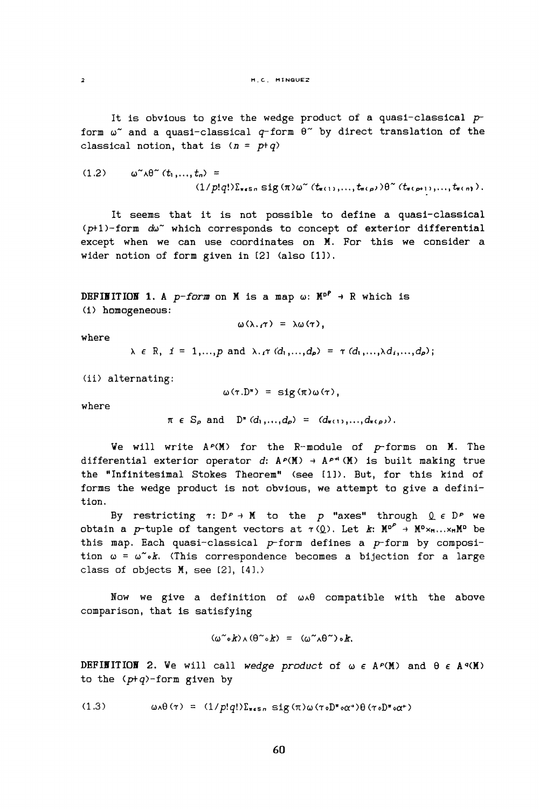It is obvious to give the wedge product of a quasi-classical  $p$ form  $\omega^*$  and a quasi-classical  $q$ -form  $\theta^*$  by direct translation of the classical notion, that is  $(n = p+q)$ 

$$
(1.2) \qquad \omega^{\sim} \wedge \theta^{\sim} (t_1,\ldots,t_n) =
$$

$$
(1/p!q!) \sum_{\mathbf{r} \in \mathbf{S}^n} \mathbf{sig} (\pi) \omega^{\sim} (t_{\mathbf{r}(1)},\ldots,t_{\mathbf{r}(p)}) \theta^{\sim} (t_{\mathbf{r}(p+1)},\ldots,t_{\mathbf{r}(n)}).
$$

It seems that it is not possible to define a quasi-classical (p+1)-form dw<sup>o</sup> which corresponds to concept of exterior differential except when we can use coordinates on M. For this we consider a wider notion of form given in [2] (also [1]).

DEFINITION 1. A p-form on M is a map  $\omega$ :  $M^{p^p} \rightarrow R$  which is  $(i)$  homogeneous:

$$
\omega(\lambda,\tau) = \lambda \omega(\tau),
$$

where

 $\ddot{\phantom{0}}$ 

$$
\lambda \in \mathbb{R}, \quad i = 1,...,p \text{ and } \lambda \cdot i \tau \cdot (d_1,...,d_p) = \tau \cdot (d_1,...,\lambda d_i,...,d_p);
$$

(ii) alternating:

$$
\omega(\tau.D^*) = \text{sig}(\pi)\omega(\tau),
$$

where

$$
\pi \in S_p
$$
 and  $D^*(d_1,...,d_p) = (d_{\pi(1)},...,d_{\pi(p)})$ .

We will write  $A^p(M)$  for the R-module of p-forms on M. The differential exterior operator d:  $A^{\rho}(\mathbb{M}) \rightarrow A^{\rho+1}(\mathbb{M})$  is built making true the "Infinitesimal Stokes Theorem" (see [1]). But, for this kind of forms the wedge product is not obvious, we attempt to give a definition.

By restricting  $\tau: D^p \to M$  to the p "axes" through  $Q \in D^p$  we obtain a p-tuple of tangent vectors at  $\tau(Q)$ . Let k:  $M^{0^P} \rightarrow M^{0} \times_{H} ... \times_{H} M^{0}$  be this map. Each quasi-classical  $p$ -form defines a  $p$ -form by composition  $\omega = \omega^{\sim} \circ k$ . (This correspondence becomes a bijection for a large class of objects M, see [2], [4].)

Now we give a definition of  $\omega A \theta$  compatible with the above comparison, that is satisfying

$$
(\omega^{\sim} \circ k) \wedge (\theta^{\sim} \circ k) = (\omega^{\sim} \wedge \theta^{\sim}) \circ k.
$$

DEFINITION 2. We will call wedge product of  $\omega \in A^{\rho}(\mathbb{M})$  and  $\theta \in A^q(\mathbb{M})$ to the  $(ptq)-form$  given by

60

 $(1.3)$  $\omega A \theta (\tau) = (1/p!q!) \sum_{\mathbf{x} \in S_n} \text{sig}(\pi) \omega (\tau \cdot D^{\pi} \cdot \alpha^*) \theta (\tau \cdot D^{\pi} \cdot \alpha^*)$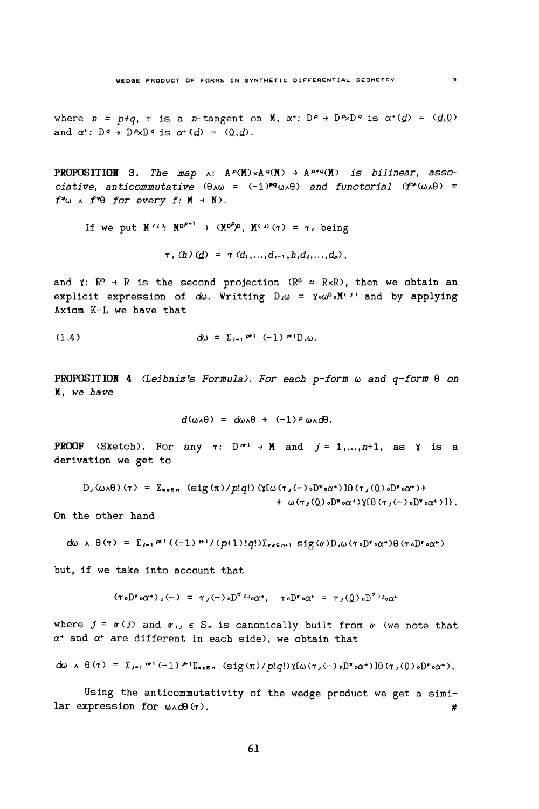where  $n = p+q$ ,  $\tau$  is a *n*-tangent on M,  $\alpha$ <sup>+</sup>: D<sup>p</sup> + D<sup>*n*</sup>N<sup>p</sup> is  $\alpha$ <sup>+</sup>( $d$ ) = ( $d$ , $Q$ ) and  $\alpha^*$ :  $D^q \rightarrow D^q \rightarrow D^q$  is  $\alpha^*(d) = (0, d)$ .

**PROPOSITION** 3. The map  $\land$ :  $A^{\rho}(M) \times A^{\sigma}(M) \rightarrow A^{\rho+q}(M)$  is bilinear, associative, anticommutative  $(\theta \wedge \omega = (-1)^{pq} \omega \wedge \theta)$  and functorial  $(f^*(\omega \wedge \theta)) =$  $f^*\omega \wedge f^*\theta$  for every  $f: M \to N$ ).

If we put  $M^{(1)}$ :  $M^{p+1} \rightarrow (M^{p})^p$ ,  $M^{(1)}(\tau) = \tau_1$  being

$$
\tau_1(h)(d) = \tau(d_1,...,d_{i-1},h,d_i,...,d_p),
$$

and  $\gamma: \mathbb{R}^p \to \mathbb{R}$  is the second projection  $(\mathbb{R}^p \approx \mathbb{R} \times \mathbb{R})$ , then we obtain an explicit expression of  $d\omega$ . Writting  $D_i\omega = \gamma \omega^{\omega} \cdot M^{(i)}$  and by applying Axiom K-L we have that

(1.4) 
$$
d\omega = \sum_{i=1}^{n+1} (-1)^{i+1} D_i \omega.
$$

**PROPOSITION 4** (Leibniz's Formula). For each  $p$ -form  $\omega$  and  $q$ -form  $\theta$  on M. we have

$$
d(\omega_{A}\theta) = d\omega_{A}\theta + (-1)^{p} \omega_{A}d\theta.
$$

**PROOF** (Sketch). For any  $\tau: D^{n} \rightarrow M$  and  $j = 1,...,n+1$ , as  $\gamma$  is a derivation we get to

 $D_J(\omega A\theta)(\tau) = \sum_{\pi\in S\pi} (sig(\pi)/p!q!) \{\gamma[\omega(\tau_J(-)\circ D^\pi\circ\alpha^*)]\theta(\tau_J(Q)\circ D^\pi\circ\alpha^*) +$ +  $\omega(\tau_J(\underline{0}) \circ D^* \circ \alpha^*)$   $(\theta(\tau_J(-) \circ D^* \circ \alpha^*))$ .

On the other hand

$$
d\omega \wedge \theta(\tau) = \sum_{i=1}^{\infty} P^{i} ((-1) \cdot P^{i}/(p+1)!q!) \sum_{\tau \in S} P^{i} \cdot S^{i} g(\tau) D_{i} \omega(\tau \circ D^{\tau} \circ \alpha^{+}) \theta(\tau \circ D^{\tau} \circ \alpha^{+})
$$

but, if we take into account that

 $(\tau \circ D^{\sigma} \circ \alpha^{+})_{i}(-) = \tau_{i}(-) \circ D^{\sigma_{i}} \circ \alpha^{+}, \quad \tau \circ D^{\sigma} \circ \alpha^{+} = \tau_{i}(0) \circ D^{\sigma_{i}} \circ \alpha^{+}$ 

where  $j = \sigma(i)$  and  $\sigma_{ij} \in S_n$  is canonically built from  $\sigma$  (we note that  $\alpha^*$  and  $\alpha^*$  are different in each side), we obtain that

$$
du \wedge \theta(\tau) = \sum_{j=1}^{m} (\gamma_j) \wedge \sum_{\tau \in S_n} (\text{sig}(\pi)/p!q!) \chi(\omega(\tau, \langle \cdot \rangle \circ \mathbb{D}^{\tau} \circ \alpha^*) \theta(\tau, \langle \mathbb{Q} \rangle \circ \mathbb{D}^{\tau} \circ \alpha^*).
$$

Using the anticommutativity of the wedge product we get a similar expression for  $\omega \wedge d\theta$  ( $\gamma$ ). #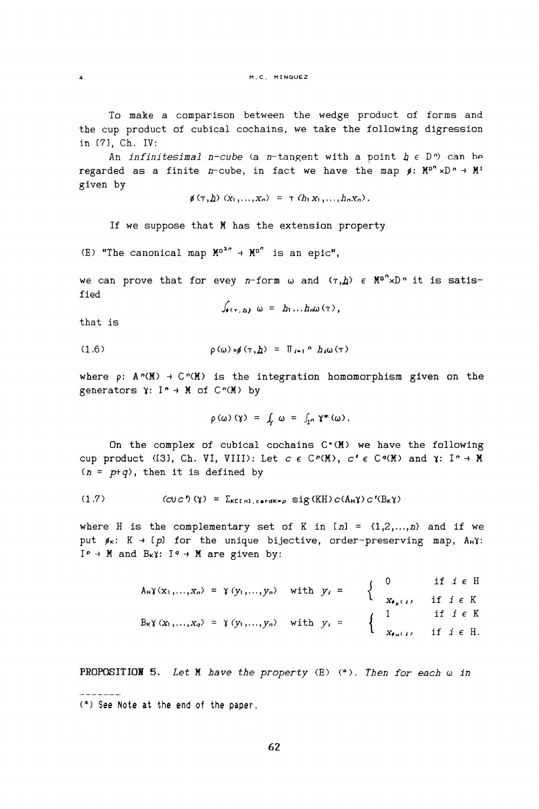To make a comparison between the wedge product of forms and the cup product of cubical cochains, we take the following digression in [7]. Ch. IV:

An *infinitesimal n*-cube (a *n*-tangent with a point  $h \in D^n$ ) can be regarded as a finite n-cube, in fact we have the map  $\beta$ :  $M^{p^n} \times D^n \rightarrow M^n$ given by

$$
\phi(\tau, h)(x_1, \ldots, x_n) = \tau(h_1 x_1, \ldots, h_n x_n).
$$

If we suppose that M has the extension property

(E) "The canonical map  $M^{p^{2n}} \rightarrow M^{p^n}$  is an epic",

we can prove that for evey n-form  $\omega$  and  $(r, h)$   $\in$   $\mathbb{M}^{p^n} \times \mathbb{D}^n$  it is satisfied

$$
\int_{\theta} \epsilon_{\tau, h} \omega = h_1 ... h_n \omega(\tau),
$$

that is

 $\mathbf{A}$ 

(1.6) 
$$
\rho(\omega) \circ \phi(\tau, \underline{h}) = \Pi_{i=1} P h_i \omega(\tau)
$$

where  $\rho: A^n(M) \to C^n(M)$  is the integration homomorphism given on the generators  $\gamma: I^n \rightarrow M$  of  $C^n(M)$  by

$$
\rho(\omega)(\gamma) = \int_{\gamma} \omega = \int_{I^n} \gamma^*(\omega).
$$

On the complex of cubical cochains  $C^*(M)$  we have the following cup product (13), Ch. VI, VIII): Let  $c \in C^p(M)$ ,  $c' \in C^q(M)$  and  $\gamma: I^n \to M$  $(n = ptq)$ , then it is defined by

$$
(1.7) \t\t (CUC0 (Y) = \sum_{KCln1, cardK=p} sig(KH) C(A_{H}Y) C'(B_{K}Y)
$$

where H is the complementary set of K in  $[n] = \{1, 2, ..., n\}$  and if we put  $\beta_{\kappa}: K \to [p]$  for the unique bijective, order-preserving map,  $A_{\kappa}Y$ :  $I^p \rightarrow M$  and  $B_k \gamma$ :  $I^q \rightarrow M$  are given by:

| $A_H \gamma(x_1,,x_n) = \gamma(y_1,,y_n)$ with $y_i = \begin{cases} 0 & \text{if } i \in H \\ x_{\phi_K(i)} & \text{if } i \in K \end{cases}$                                                                                                                                                                  |  |  |
|----------------------------------------------------------------------------------------------------------------------------------------------------------------------------------------------------------------------------------------------------------------------------------------------------------------|--|--|
|                                                                                                                                                                                                                                                                                                                |  |  |
| $\label{eq:1.1} B_{\kappa} \gamma\left(x_1,\ldots,x_q\right) \ = \ \gamma\left(y_1,\ldots,y_n\right) \quad \text{with} \quad y_i \ = \qquad \left\{ \begin{array}{ccc} 1 & \quad \text{if} \ \ i \, \in \, K \\[1mm] x_{\theta \, \pi\left(I\right)} & \quad \text{if} \ \ i \, \in \, H. \end{array} \right.$ |  |  |
|                                                                                                                                                                                                                                                                                                                |  |  |

**PROPOSITION 5.** Let M have the property  $(E)$  (\*). Then for each  $\omega$  in

<sup>(\*)</sup> See Note at the end of the paper,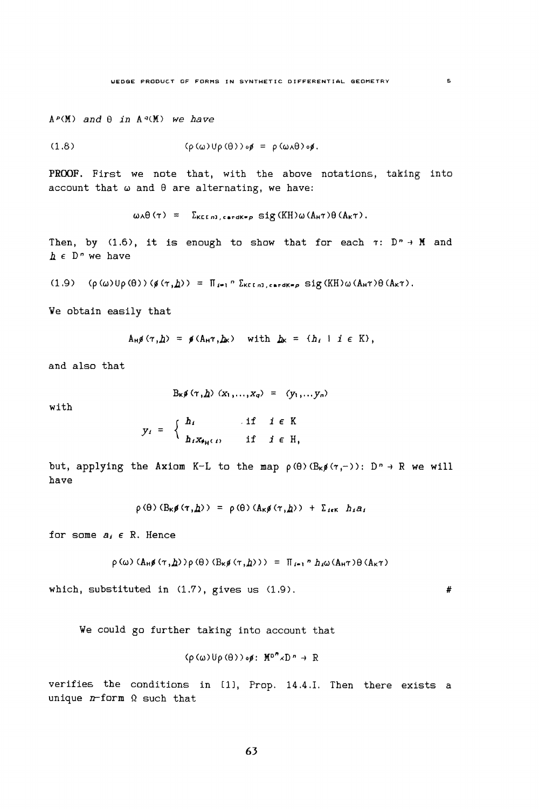$A^p(M)$  and  $\theta$  in  $A^q(M)$  we have

$$
(\rho(\omega) \cup \rho(\theta)) \circ \phi = \rho(\omega \wedge \theta) \circ \phi.
$$

PROOF. First we note that, with the above notations, taking into account that  $\omega$  and  $\theta$  are alternating, we have:

 $\omega \wedge \theta (\tau) = \sum_{K \in \mathbb{N}^n, \text{card } K = p} \text{sig } (KH) \omega (A_H \tau) \theta (A_K \tau).$ 

Then, by (1.6), it is enough to show that for each  $\tau: D^n \rightarrow M$  and  $h \in D^n$  we have

 $(1.9)$   $(\rho(\omega) \cup \rho(\theta)) (\not g(\tau, \underline{h})) = \prod_{i=1}^{n} \sum_{k \in [n]} \sum_{\text{c} \in \text{dK} = p} \text{sig}(KH) \omega(A_{H} \tau) \theta(A_{K} \tau).$ 

We obtain easily that

$$
A_H \mathfrak{g}(\tau, \underline{h}) = \mathfrak{g}(A_H \tau, \underline{h}_K) \quad \text{with } \underline{h}_K = \{h_I \mid i \in K\},
$$

and also that

$$
B_{\kappa}\mathfrak{g}\left(\tau,\underline{h}\right)\left(x_{1},\ldots,x_{q}\right) = \left(y_{1},\ldots,y_{n}\right)
$$

with

$$
y_i = \begin{cases} h_i & \text{if } i \in K \\ h_i x_{\theta_H(i)} & \text{if } i \in H, \end{cases}
$$

but, applying the Axiom K-L to the map  $\rho(\theta)$  ( $B_k \notin \{r, -1\}$ ):  $D^n \to R$  we will have

$$
\rho(\theta) (B_{\kappa}\phi(\tau, \underline{h})) = \rho(\theta) (A_{\kappa}\phi(\tau, \underline{h})) + \Sigma_{\kappa\kappa} h_{\kappa} a_{\kappa}
$$

for some  $a_i \in R$ . Hence

$$
\rho(\omega) (\mathbf{A}_{\mathsf{H}} \mathfrak{g}(\tau, \underline{h})) \rho(\theta) (\mathbf{B}_{\mathsf{K}} \mathfrak{g}(\tau, \underline{h}))) = \Pi_{i=1}^n h_{i}\omega(\mathbf{A}_{\mathsf{H}} \tau) \theta(\mathbf{A}_{\mathsf{K}} \tau)
$$

which, substituted in  $(1.7)$ , gives us  $(1.9)$ .

We could go further taking into account that

$$
\langle \rho(\omega) \mathsf{U} \rho(\theta) \rangle \circ \phi \colon M^{\mathsf{D}^n} \times D^n \to \mathbb{R}
$$

verifies the conditions in [1], Prop. 14.4.I. Then there exists a unique  $n$ -form  $\Omega$  such that

#

 $\overline{\mathbf{S}}$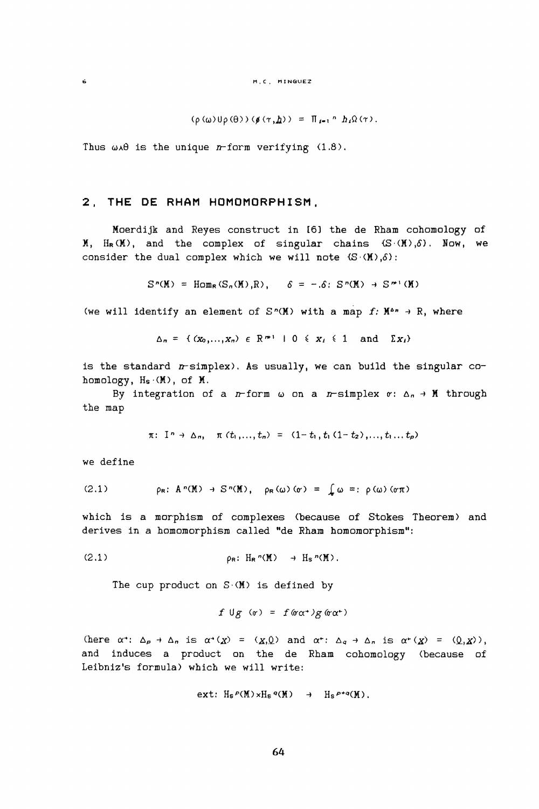$(\rho(\omega) \cup \rho(\theta)) (\not\in (\tau, \underline{h})) = \prod_{i=1}^n h_i \Omega(\tau).$ 

Thus  $\omega \lambda \theta$  is the unique *n*-form verifying (1.8).

#### 2, THE DE RHAM HOMOMORPHISM,

Moerdijk and Reyes construct in [6] the de Rham cohomology of  $M$ ,  $H_R(M)$ , and the complex of singular chains  $(S(M), \delta)$ . Now, we consider the dual complex which we will note  $(S \cdot (M), \delta)$ :

$$
S^n(M) = \text{Hom}_R(S_n(M), R), \quad \delta = -\delta \colon S^n(M) \to S^{n+1}(M)
$$

(we will identify an element of  $S^n(M)$  with a map f:  $M^{a_n} \to R$ , where

$$
\Delta_n = \{ (x_0, \ldots, x_n) \in \mathbb{R}^{m+1} \mid 0 \leq x_i \leq 1 \text{ and } \Sigma x_i \}
$$

is the standard  $n$ -simplex). As usually, we can build the singular cohomology, Hs (M), of M.

By integration of a *n*-form  $\omega$  on a *n*-simplex  $\sigma: \Delta_n \to M$  through the map

$$
\pi
$$
:  $I^n \to \Delta_n$ ,  $\pi(t_1,...,t_n) = (1-t_1,t_1(1-t_2),...,t_1...t_n)$ 

we define

Ġ.

(2.1) 
$$
\rho_R: A^n(M) \to S^n(M), \quad \rho_R(\omega)(\sigma) = \int_{\sigma} \omega =: \rho(\omega)(\sigma \pi)
$$

which is a morphism of complexes (because of Stokes Theorem) and derives in a homomorphism called "de Rham homomorphism":

$$
\rho_{\mathsf{R}}\colon H_{\mathsf{R}}^{\,n}(\mathbb{M})\to H_{\mathsf{S}}^{\,n}(\mathbb{M})\,.
$$

The cup product on  $S(M)$  is defined by

$$
f \cup g \quad (r) = f (g \alpha^*) g (g \alpha^*)
$$

(here  $\alpha^*$ :  $\Delta_p \to \Delta_n$  is  $\alpha^*(\chi) = (\chi, 0)$  and  $\alpha^*$ :  $\Delta_q \to \Delta_n$  is  $\alpha^*(\chi) = (\underline{0}, \chi)$ ), and induces a product on the de Rham cohomology (because of Leibniz's formula) which we will write:

$$
\text{ext: } H_S P(M) \times H_S q(M) \to H_S P^{+q}(M).
$$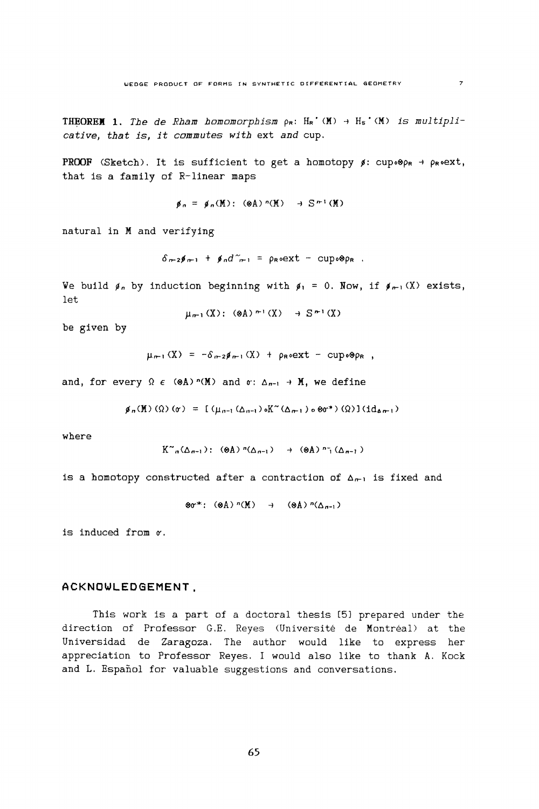**THEOREM 1.** The de Rham homomorphism  $\rho_R$ :  $H_R^{\bullet}(M) \rightarrow H_S^{\bullet}(M)$  is multiplicative, that is, it commutes with ext and cup.

**PROOF** (Sketch). It is sufficient to get a homotopy  $\beta$ : cup.  $\Theta$ p<sub>R</sub> + p<sub>R</sub>. ext, that is a family of R-linear maps

$$
\phi_n = \phi_n(M) : (\otimes A)^n(M) \to S^{n} (M)
$$

natural in M and verifying

$$
\delta_{\mathfrak{m}\mathfrak{2}}\mathfrak{p}_{\mathfrak{m}1} + \mathfrak{p}_n d^{\sim}_{\mathfrak{m}1} = \rho_{\mathsf{R}} \circ \mathsf{ext} - \text{cup} \circ \mathsf{p}_\mathsf{R}.
$$

We build  $\beta_n$  by induction beginning with  $\beta_1 = 0$ . Now, if  $\beta_{n-1}(X)$  exists, let

$$
\mu_{n-1}(X): (\otimes A)^{n+1}(X) \to S^{n+1}(X)
$$

be given by

$$
\mu_{n-1}(X) = -\delta_{n-2}\beta_{n-1}(X) + \rho_{R}oext - cup \circ \mathcal{P}_{PR},
$$

and, for every  $\Omega \in (\otimes A) \cap (\mathbb{M})$  and  $\sigma: \Delta_{n-1} \to \mathbb{M}$ , we define

$$
\mathfrak{g}_{n}(\mathbb{M}) (\Omega) (\sigma) = [(\mu_{n-1}(\Delta_{n-1}) \circ K^{\sim}(\Delta_{n-1}) \circ \otimes \sigma^{*}) (\Omega)] (\mathrm{id}_{\Delta_{n-1}})
$$

where

$$
K^{\sim}_{\mathfrak{a}}(\Delta_{\mathfrak{a}-1}): (\otimes A)^{\mathfrak{n}}(\Delta_{\mathfrak{a}-1}) \rightarrow (\otimes A)^{\mathfrak{n}}(\Delta_{\mathfrak{n}-1})
$$

is a homotopy constructed after a contraction of  $\Delta_{n-1}$  is fixed and

$$
\otimes \sigma^* \colon (\otimes A)^n(M) \to (\otimes A)^n(\Delta_{n-1})
$$

is induced from  $r$ .

#### ACKNOWLEDGEMENT,

This work is a part of a doctoral thesis [5] prepared under the direction of Professor G.E. Reyes (Université de Montréal) at the Universidad de Zaragoza. The author would like to express her appreciation to Professor Reyes. I would also like to thank A. Kock and L. Español for valuable suggestions and conversations.

 $\overline{z}$